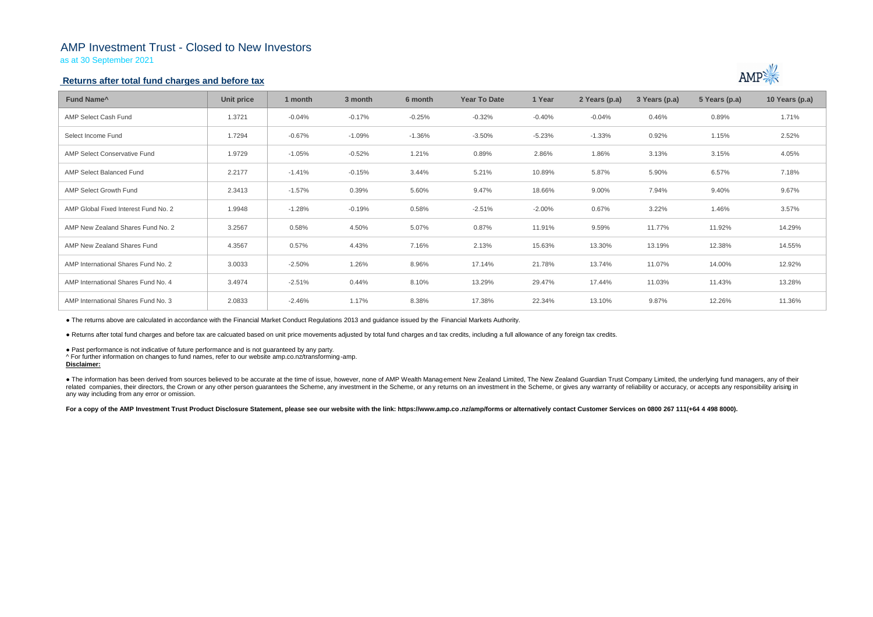# AMP Investment Trust - Closed to New Investors

as at 30 September 2021

### **Returns after total fund charges and before tax**

| Fund Name <sup>^</sup>               | Unit price | 1 month  | 3 month  | 6 month  | <b>Year To Date</b> | 1 Year    | 2 Years (p.a) | 3 Years (p.a) | 5 Years (p.a) | 10 Years (p.a) |
|--------------------------------------|------------|----------|----------|----------|---------------------|-----------|---------------|---------------|---------------|----------------|
| AMP Select Cash Fund                 | 1.3721     | $-0.04%$ | $-0.17%$ | $-0.25%$ | $-0.32%$            | -0.40%    | $-0.04%$      | 0.46%         | 0.89%         | 1.71%          |
| Select Income Fund                   | 1.7294     | $-0.67%$ | $-1.09%$ | $-1.36%$ | $-3.50%$            | $-5.23%$  | $-1.33%$      | 0.92%         | 1.15%         | 2.52%          |
| AMP Select Conservative Fund         | 1.9729     | $-1.05%$ | $-0.52%$ | 1.21%    | 0.89%               | 2.86%     | 1.86%         | 3.13%         | 3.15%         | 4.05%          |
| AMP Select Balanced Fund             | 2.2177     | $-1.41%$ | $-0.15%$ | 3.44%    | 5.21%               | 10.89%    | 5.87%         | 5.90%         | 6.57%         | 7.18%          |
| AMP Select Growth Fund               | 2.3413     | $-1.57%$ | 0.39%    | 5.60%    | 9.47%               | 18.66%    | 9.00%         | 7.94%         | 9.40%         | 9.67%          |
| AMP Global Fixed Interest Fund No. 2 | 1.9948     | $-1.28%$ | $-0.19%$ | 0.58%    | $-2.51%$            | $-2.00\%$ | 0.67%         | 3.22%         | 1.46%         | 3.57%          |
| AMP New Zealand Shares Fund No. 2    | 3.2567     | 0.58%    | 4.50%    | 5.07%    | 0.87%               | 11.91%    | 9.59%         | 11.77%        | 11.92%        | 14.29%         |
| AMP New Zealand Shares Fund          | 4.3567     | 0.57%    | 4.43%    | 7.16%    | 2.13%               | 15.63%    | 13.30%        | 13.19%        | 12.38%        | 14.55%         |
| AMP International Shares Fund No. 2  | 3.0033     | $-2.50%$ | 1.26%    | 8.96%    | 17.14%              | 21.78%    | 13.74%        | 11.07%        | 14.00%        | 12.92%         |
| AMP International Shares Fund No. 4  | 3.4974     | $-2.51%$ | 0.44%    | 8.10%    | 13.29%              | 29.47%    | 17.44%        | 11.03%        | 11.43%        | 13.28%         |
| AMP International Shares Fund No. 3  | 2.0833     | $-2.46%$ | 1.17%    | 8.38%    | 17.38%              | 22.34%    | 13.10%        | 9.87%         | 12.26%        | 11.36%         |

• The information has been derived from sources believed to be accurate at the time of issue, however, none of AMP Wealth Management New Zealand Limited, The New Zealand Guardian Trust Company Limited, the underlying fund related companies, their directors, the Crown or any other person quarantees the Scheme, any investment in the Scheme, or any returns on an investment in the Scheme, or gives any warranty of reliability or accuracy, or acc any way including from any error or omission.

For a copy of the AMP Investment Trust Product Disclosure Statement, please see our website with the link: https://www.amp.co.nz/amp/forms or alternatively contact Customer Services on 0800 267 111(+64 4 498 8000).



● The returns above are calculated in accordance with the Financial Market Conduct Regulations 2013 and guidance issued by the Financial Markets Authority.

● Returns after total fund charges and before tax are calcuated based on unit price movements adjusted by total fund charges and tax credits, including a full allowance of any foreign tax credits.

● Past performance is not indicative of future performance and is not guaranteed by any party.

^ For further information on changes to fund names, refer to our website amp.co.nz/transforming-amp.

## **Disclaimer:**